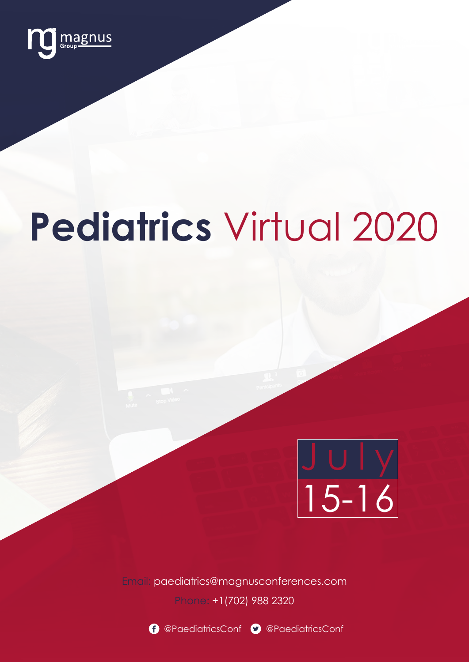

# **Pediatrics** Virtual 2020



Email: paediatrics@magnusconferences.com

Phone: +1(702) 988 2320





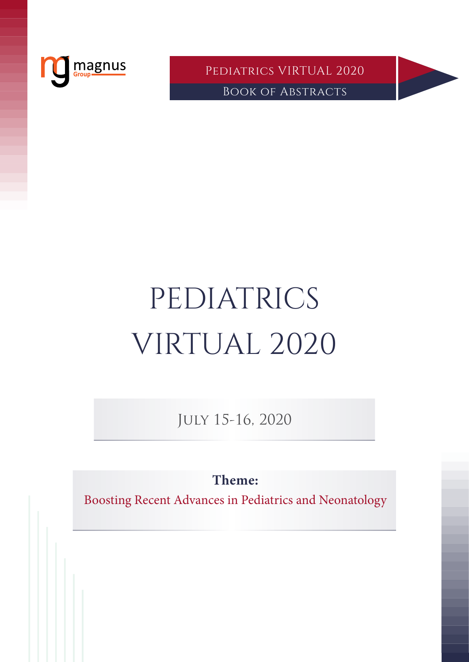

Pediatrics VIRTUAL 2020 Book of Abstracts

# PEDIATRICS VIRTUAL 2020

July 15-16, 2020

**Theme:**

Boosting Recent Advances in Pediatrics and Neonatology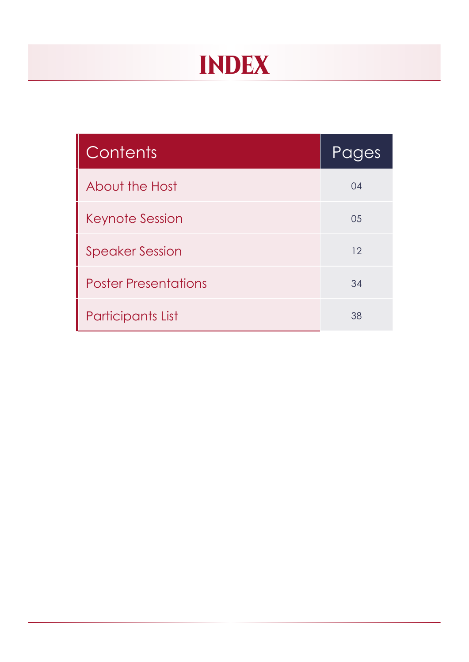# Index

| Contents                    | Pages |
|-----------------------------|-------|
| About the Host              | 04    |
| <b>Keynote Session</b>      | 05    |
| <b>Speaker Session</b>      | 12    |
| <b>Poster Presentations</b> | 34    |
| <b>Participants List</b>    | 38    |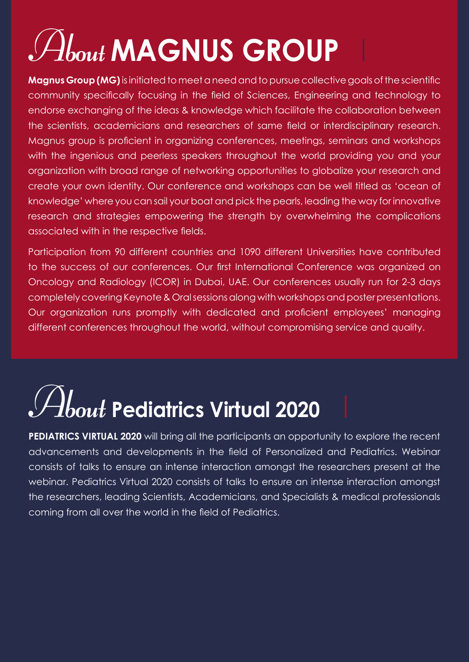# <span id="page-3-0"></span>About **MAGNUS GROUP**

**Magnus Group (MG)**is initiated to meet a need and to pursue collective goals of the scientific community specifically focusing in the field of Sciences, Engineering and technology to endorse exchanging of the ideas & knowledge which facilitate the collaboration between the scientists, academicians and researchers of same field or interdisciplinary research. Magnus group is proficient in organizing conferences, meetings, seminars and workshops with the ingenious and peerless speakers throughout the world providing you and your organization with broad range of networking opportunities to globalize your research and create your own identity. Our conference and workshops can be well titled as 'ocean of knowledge' where you can sail your boat and pick the pearls, leading the way for innovative research and strategies empowering the strength by overwhelming the complications associated with in the respective fields.

Participation from 90 different countries and 1090 different Universities have contributed to the success of our conferences. Our first International Conference was organized on Oncology and Radiology (ICOR) in Dubai, UAE. Our conferences usually run for 2-3 days completely covering Keynote & Oral sessions along with workshops and poster presentations. Our organization runs promptly with dedicated and proficient employees' managing different conferences throughout the world, without compromising service and quality.

# About **Pediatrics Virtual 2020**

**PEDIATRICS VIRTUAL 2020** will bring all the participants an opportunity to explore the recent advancements and developments in the field of Personalized and Pediatrics. Webinar consists of talks to ensure an intense interaction amongst the researchers present at the webinar. Pediatrics Virtual 2020 consists of talks to ensure an intense interaction amongst the researchers, leading Scientists, Academicians, and Specialists & medical professionals coming from all over the world in the field of Pediatrics.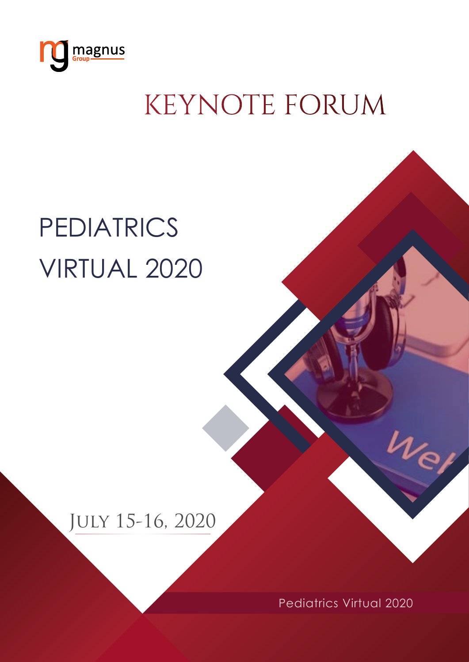<span id="page-4-0"></span>

# KEYNOTE FORUM

# **PEDIATRICS** Virtual 2020

# July 15-16, 2020

Pediatrics Virtual 2020

 $\nu_e$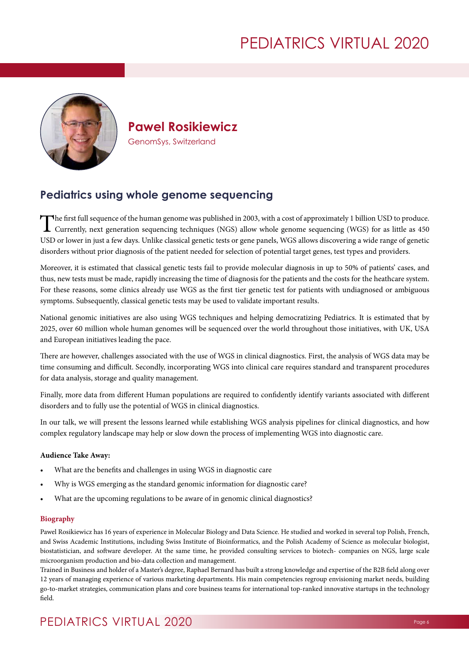

**Pawel Rosikiewicz** GenomSys, Switzerland

## **Pediatrics using whole genome sequencing**

The first full sequence of the human genome was published in 2003, with a cost of approximately 1 billion USD to produce.<br>Currently, next generation sequencing techniques (NGS) allow whole genome sequencing (WGS) for as li USD or lower in just a few days. Unlike classical genetic tests or gene panels, WGS allows discovering a wide range of genetic disorders without prior diagnosis of the patient needed for selection of potential target genes, test types and providers.

Moreover, it is estimated that classical genetic tests fail to provide molecular diagnosis in up to 50% of patients' cases, and thus, new tests must be made, rapidly increasing the time of diagnosis for the patients and the costs for the heathcare system. For these reasons, some clinics already use WGS as the first tier genetic test for patients with undiagnosed or ambiguous symptoms. Subsequently, classical genetic tests may be used to validate important results.

National genomic initiatives are also using WGS techniques and helping democratizing Pediatrics. It is estimated that by 2025, over 60 million whole human genomes will be sequenced over the world throughout those initiatives, with UK, USA and European initiatives leading the pace.

There are however, challenges associated with the use of WGS in clinical diagnostics. First, the analysis of WGS data may be time consuming and difficult. Secondly, incorporating WGS into clinical care requires standard and transparent procedures for data analysis, storage and quality management.

Finally, more data from different Human populations are required to confidently identify variants associated with different disorders and to fully use the potential of WGS in clinical diagnostics.

In our talk, we will present the lessons learned while establishing WGS analysis pipelines for clinical diagnostics, and how complex regulatory landscape may help or slow down the process of implementing WGS into diagnostic care.

#### **Audience Take Away:**

- What are the benefits and challenges in using WGS in diagnostic care
- Why is WGS emerging as the standard genomic information for diagnostic care?
- What are the upcoming regulations to be aware of in genomic clinical diagnostics?

#### **Biography**

Pawel Rosikiewicz has 16 years of experience in Molecular Biology and Data Science. He studied and worked in several top Polish, French, and Swiss Academic Institutions, including Swiss Institute of Bioinformatics, and the Polish Academy of Science as molecular biologist, biostatistician, and software developer. At the same time, he provided consulting services to biotech- companies on NGS, large scale microorganism production and bio-data collection and management.

Trained in Business and holder of a Master's degree, Raphael Bernard has built a strong knowledge and expertise of the B2B field along over 12 years of managing experience of various marketing departments. His main competencies regroup envisioning market needs, building go-to-market strategies, communication plans and core business teams for international top-ranked innovative startups in the technology field.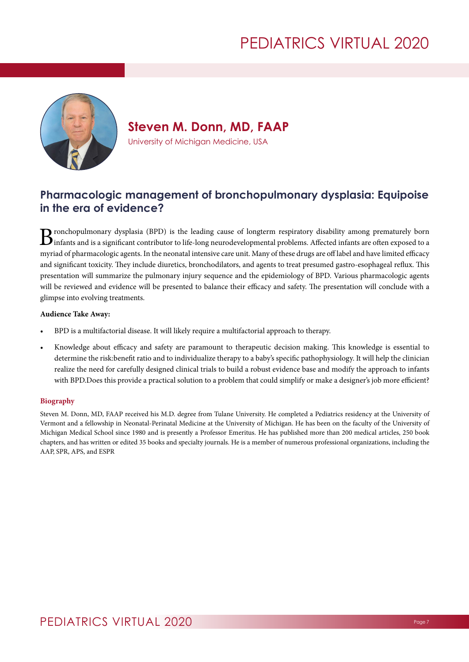

**Steven M. Donn, MD, FAAP**

University of Michigan Medicine, USA

## **Pharmacologic management of bronchopulmonary dysplasia: Equipoise in the era of evidence?**

 $\bf{B}$ ronchopulmonary dysplasia (BPD) is the leading cause of longterm respiratory disability among prematurely born<br>Dinfants and is a significant contributor to life-long neurodevelopmental problems. Affected infants ar myriad of pharmacologic agents. In the neonatal intensive care unit. Many of these drugs are off label and have limited efficacy and significant toxicity. They include diuretics, bronchodilators, and agents to treat presumed gastro-esophageal reflux. This presentation will summarize the pulmonary injury sequence and the epidemiology of BPD. Various pharmacologic agents will be reviewed and evidence will be presented to balance their efficacy and safety. The presentation will conclude with a glimpse into evolving treatments.

#### **Audience Take Away:**

- BPD is a multifactorial disease. It will likely require a multifactorial approach to therapy.
- Knowledge about efficacy and safety are paramount to therapeutic decision making. This knowledge is essential to determine the risk:benefit ratio and to individualize therapy to a baby's specific pathophysiology. It will help the clinician realize the need for carefully designed clinical trials to build a robust evidence base and modify the approach to infants with BPD.Does this provide a practical solution to a problem that could simplify or make a designer's job more efficient?

#### **Biography**

Steven M. Donn, MD, FAAP received his M.D. degree from Tulane University. He completed a Pediatrics residency at the University of Vermont and a fellowship in Neonatal-Perinatal Medicine at the University of Michigan. He has been on the faculty of the University of Michigan Medical School since 1980 and is presently a Professor Emeritus. He has published more than 200 medical articles, 250 book chapters, and has written or edited 35 books and specialty journals. He is a member of numerous professional organizations, including the AAP, SPR, APS, and ESPR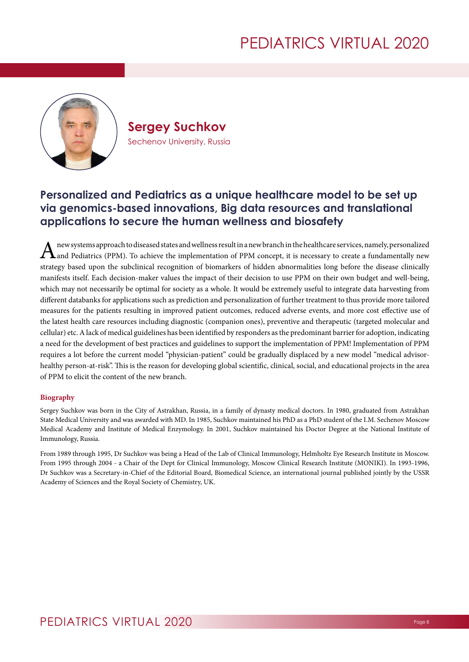

**Sergey Suchkov** Sechenov University, Russia

## **Personalized and Pediatrics as a unique healthcare model to be set up via genomics-based innovations, Big data resources and translational applications to secure the human wellness and biosafety**

A new systems approach to diseased states and wellness result in a new branch in the healthcare services, namely, personalized and Pediatrics (PPM). To achieve the implementation of PPM concept, it is necessary to create a fundamentally new strategy based upon the subclinical recognition of biomarkers of hidden abnormalities long before the disease clinically manifests itself. Each decision-maker values the impact of their decision to use PPM on their own budget and well-being, which may not necessarily be optimal for society as a whole. It would be extremely useful to integrate data harvesting from different databanks for applications such as prediction and personalization of further treatment to thus provide more tailored measures for the patients resulting in improved patient outcomes, reduced adverse events, and more cost effective use of the latest health care resources including diagnostic (companion ones), preventive and therapeutic (targeted molecular and cellular) etc. A lack of medical guidelines has been identified by responders as the predominant barrier for adoption, indicating a need for the development of best practices and guidelines to support the implementation of PPM! Implementation of PPM requires a lot before the current model "physician-patient" could be gradually displaced by a new model "medical advisorhealthy person-at-risk". This is the reason for developing global scientific, clinical, social, and educational projects in the area of PPM to elicit the content of the new branch.

#### **Biography**

Sergey Suchkov was born in the City of Astrakhan, Russia, in a family of dynasty medical doctors. In 1980, graduated from Astrakhan State Medical University and was awarded with MD. In 1985, Suchkov maintained his PhD as a PhD student of the I.M. Sechenov Moscow Medical Academy and Institute of Medical Enzymology. In 2001, Suchkov maintained his Doctor Degree at the National Institute of Immunology, Russia.

From 1989 through 1995, Dr Suchkov was being a Head of the Lab of Clinical Immunology, Helmholtz Eye Research Institute in Moscow. From 1995 through 2004 - a Chair of the Dept for Clinical Immunology, Moscow Clinical Research Institute (MONIKI). In 1993-1996, Dr Suchkov was a Secretary-in-Chief of the Editorial Board, Biomedical Science, an international journal published jointly by the USSR Academy of Sciences and the Royal Society of Chemistry, UK.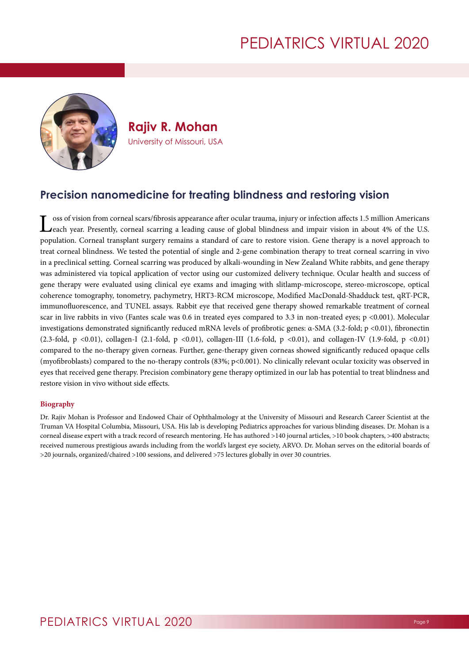

**Rajiv R. Mohan** University of Missouri, USA

## **Precision nanomedicine for treating blindness and restoring vision**

 $\blacksquare$  oss of vision from corneal scars/fibrosis appearance after ocular trauma, injury or infection affects 1.5 million Americans **Jeach year. Presently, corneal scarring a leading cause of global blindness and impair vision in about 4% of the U.S.** population. Corneal transplant surgery remains a standard of care to restore vision. Gene therapy is a novel approach to treat corneal blindness. We tested the potential of single and 2-gene combination therapy to treat corneal scarring in vivo in a preclinical setting. Corneal scarring was produced by alkali-wounding in New Zealand White rabbits, and gene therapy was administered via topical application of vector using our customized delivery technique. Ocular health and success of gene therapy were evaluated using clinical eye exams and imaging with slitlamp-microscope, stereo-microscope, optical coherence tomography, tonometry, pachymetry, HRT3-RCM microscope, Modified MacDonald-Shadduck test, qRT-PCR, immunofluorescence, and TUNEL assays. Rabbit eye that received gene therapy showed remarkable treatment of corneal scar in live rabbits in vivo (Fantes scale was 0.6 in treated eyes compared to 3.3 in non-treated eyes;  $p \lt 0.001$ ). Molecular investigations demonstrated significantly reduced mRNA levels of profibrotic genes: α-SMA (3.2-fold; p <0.01), fibronectin (2.3-fold, p <0.01), collagen-I (2.1-fold, p <0.01), collagen-III (1.6-fold, p <0.01), and collagen-IV (1.9-fold, p <0.01) compared to the no-therapy given corneas. Further, gene-therapy given corneas showed significantly reduced opaque cells (myofibroblasts) compared to the no-therapy controls (83%; p<0.001). No clinically relevant ocular toxicity was observed in eyes that received gene therapy. Precision combinatory gene therapy optimized in our lab has potential to treat blindness and restore vision in vivo without side effects.

#### **Biography**

Dr. Rajiv Mohan is Professor and Endowed Chair of Ophthalmology at the University of Missouri and Research Career Scientist at the Truman VA Hospital Columbia, Missouri, USA. His lab is developing Pediatrics approaches for various blinding diseases. Dr. Mohan is a corneal disease expert with a track record of research mentoring. He has authored >140 journal articles, >10 book chapters, >400 abstracts; received numerous prestigious awards including from the world's largest eye society, ARVO. Dr. Mohan serves on the editorial boards of >20 journals, organized/chaired >100 sessions, and delivered >75 lectures globally in over 30 countries.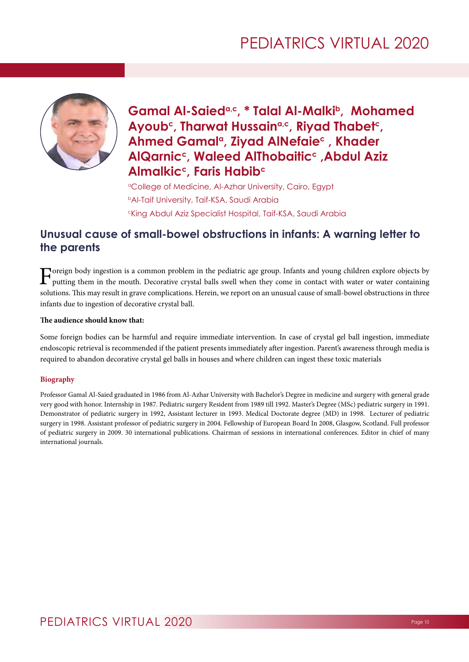

## Gamal Al-Saied<sup>a,c</sup>, \* Talal Al-Malki<sup>b</sup>, Mohamed Ayoub<sup>c</sup>, Tharwat Hussain<sup>a,c</sup>, Riyad Thabet<sup>c</sup>, Ahmed Gamal<sup>a</sup>, Zivad AlNefaie<sup>c</sup>, Khader **AlQarnicc, Waleed AlThobaiticc, Abdul Aziz Almalkic<sup>c</sup>, Faris Habib<sup>c</sup>**

<sup>a</sup>College of Medicine, Al-Azhar University, Cairo, Egypt **bAl-Taif University, Taif-KSA, Saudi Arabia** cKing Abdul Aziz Specialist Hospital, Taif-KSA, Saudi Arabia

## **Unusual cause of small-bowel obstructions in infants: A warning letter to the parents**

Foreign body ingestion is a common problem in the pediatric age group. Infants and young children explore objects by<br>putting them in the mouth. Decorative crystal balls swell when they come in contact with water or water c solutions. This may result in grave complications. Herein, we report on an unusual cause of small-bowel obstructions in three infants due to ingestion of decorative crystal ball.

#### **The audience should know that:**

Some foreign bodies can be harmful and require immediate intervention. In case of crystal gel ball ingestion, immediate endoscopic retrieval is recommended if the patient presents immediately after ingestion. Parent's awareness through media is required to abandon decorative crystal gel balls in houses and where children can ingest these toxic materials

### **Biography**

Professor Gamal Al-Saied graduated in 1986 from Al-Azhar University with Bachelor's Degree in medicine and surgery with general grade very good with honor. Internship in 1987. Pediatric surgery Resident from 1989 till 1992. Master's Degree (MSc) pediatric surgery in 1991. Demonstrator of pediatric surgery in 1992, Assistant lecturer in 1993. Medical Doctorate degree (MD) in 1998. Lecturer of pediatric surgery in 1998. Assistant professor of pediatric surgery in 2004. Fellowship of European Board In 2008, Glasgow, Scotland. Full professor of pediatric surgery in 2009. 30 international publications. Chairman of sessions in international conferences. Editor in chief of many international journals.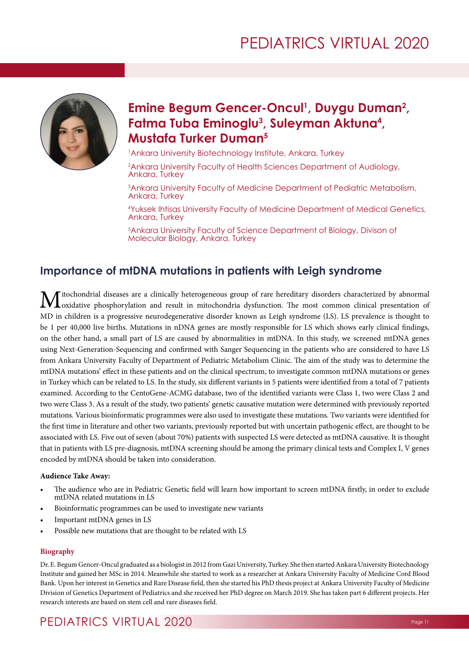

## Emine Begum Gencer-Oncul<sup>1</sup>, Duygu Duman<sup>2</sup>, **Fatma Tuba Eminoglu3 , Suleyman Aktuna4 , Mustafa Turker Duman5**

1 Ankara University Biotechnology Institute, Ankara, Turkey

2 Ankara University Faculty of Health Sciences Department of Audiology, Ankara, Turkey

3 Ankara University Faculty of Medicine Department of Pediatric Metabolism, Ankara, Turkey

4 Yuksek Ihtisas University Faculty of Medicine Department of Medical Genetics, Ankara, Turkey

5 Ankara University Faculty of Science Department of Biology, Divison of Molecular Biology, Ankara, Turkey

## **Importance of mtDNA mutations in patients with Leigh syndrome**

**M**itochondrial diseases are a clinically heterogeneous group of rare hereditary disorders characterized by abnormal oxidative phosphorylation and result in mitochondria dysfunction. The most common clinical presentation o MD in children is a progressive neurodegenerative disorder known as Leigh syndrome (LS). LS prevalence is thought to be 1 per 40,000 live births. Mutations in nDNA genes are mostly responsible for LS which shows early clinical findings, on the other hand, a small part of LS are caused by abnormalities in mtDNA. In this study, we screened mtDNA genes using Next-Generation-Sequencing and confirmed with Sanger Sequencing in the patients who are considered to have LS from Ankara University Faculty of Department of Pediatric Metabolism Clinic. The aim of the study was to determine the mtDNA mutations' effect in these patients and on the clinical spectrum, to investigate common mtDNA mutations or genes in Turkey which can be related to LS. In the study, six different variants in 5 patients were identified from a total of 7 patients examined. According to the CentoGene-ACMG database, two of the identified variants were Class 1, two were Class 2 and two were Class 3. As a result of the study, two patients' genetic causative mutation were determined with previously reported mutations. Various bioinformatic programmes were also used to investigate these mutations. Two variants were identified for the first time in literature and other two variants, previously reported but with uncertain pathogenic effect, are thought to be associated with LS. Five out of seven (about 70%) patients with suspected LS were detected as mtDNA causative. It is thought that in patients with LS pre-diagnosis, mtDNA screening should be among the primary clinical tests and Complex I, V genes encoded by mtDNA should be taken into consideration.

#### **Audience Take Away:**

- The audience who are in Pediatric Genetic field will learn how important to screen mtDNA firstly, in order to exclude mtDNA related mutations in LS
- Bioinformatic programmes can be used to investigate new variants
- Important mtDNA genes in LS
- Possible new mutations that are thought to be related with LS

#### **Biography**

Dr. E. Begum Gencer-Oncul graduated as a biologist in 2012 from Gazi University, Turkey. She then started Ankara University Biotechnology Institute and gained her MSc in 2014. Meanwhile she started to work as a researcher at Ankara University Faculty of Medicine Cord Blood Bank. Upon her interest in Genetics and Rare Disease field, then she started his PhD thesis project at Ankara University Faculty of Medicine Division of Genetics Department of Pediatrics and she received her PhD degree on March 2019. She has taken part 6 different projects. Her research interests are based on stem cell and rare diseases field.

## Pediatrics VIRTUAL 2020 Page 11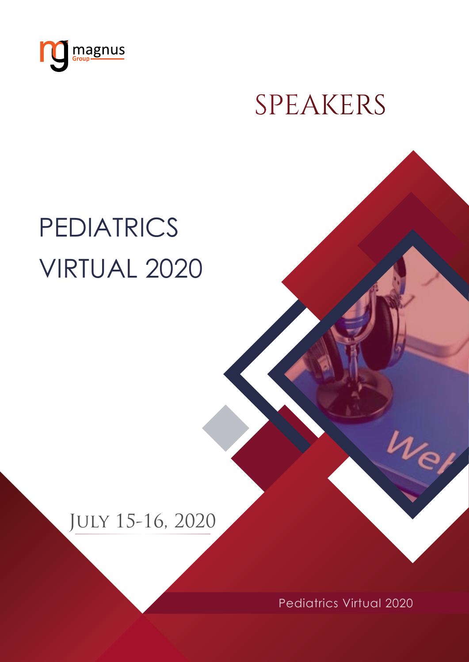<span id="page-11-0"></span>

# SPEAKERS

# **PEDIATRICS** Virtual 2020

# July 15-16, 2020

Pediatrics Virtual 2020

 $\nu_e$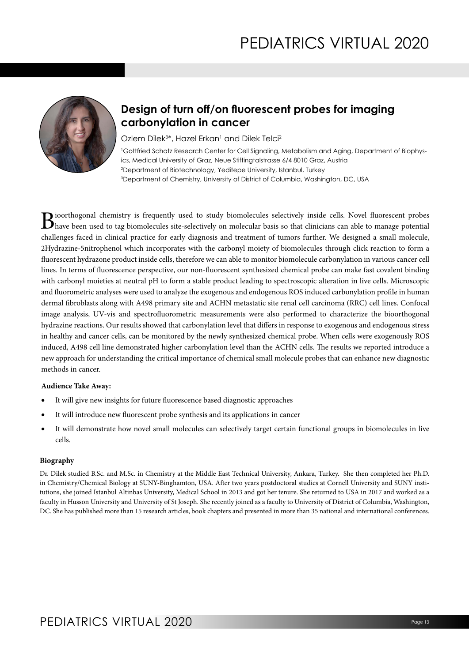

## **Design of turn off/on fluorescent probes for imaging carbonylation in cancer**

Ozlem Dilek<sup>3\*</sup>, Hazel Erkan<sup>1</sup> and Dilek Telci<sup>2</sup>

 Gottfried Schatz Research Center for Cell Signaling, Metabolism and Aging, Department of Biophysics, Medical University of Graz, Neue Stiftingtalstrasse 6/4 8010 Graz, Austria Department of Biotechnology, Yeditepe University, Istanbul, Turkey Department of Chemistry, University of District of Columbia, Washington, DC, USA

Bioorthogonal chemistry is frequently used to study biomolecules selectively inside cells. Novel fluorescent probes<br>have been used to tag biomolecules site-selectively on molecular basis so that clinicians can able to mana challenges faced in clinical practice for early diagnosis and treatment of tumors further. We designed a small molecule, 2Hydrazine-5nitrophenol which incorporates with the carbonyl moiety of biomolecules through click reaction to form a fluorescent hydrazone product inside cells, therefore we can able to monitor biomolecule carbonylation in various cancer cell lines. In terms of fluorescence perspective, our non-fluorescent synthesized chemical probe can make fast covalent binding with carbonyl moieties at neutral pH to form a stable product leading to spectroscopic alteration in live cells. Microscopic and fluorometric analyses were used to analyze the exogenous and endogenous ROS induced carbonylation profile in human dermal fibroblasts along with A498 primary site and ACHN metastatic site renal cell carcinoma (RRC) cell lines. Confocal image analysis, UV-vis and spectrofluorometric measurements were also performed to characterize the bioorthogonal hydrazine reactions. Our results showed that carbonylation level that differs in response to exogenous and endogenous stress in healthy and cancer cells, can be monitored by the newly synthesized chemical probe. When cells were exogenously ROS induced, A498 cell line demonstrated higher carbonylation level than the ACHN cells. The results we reported introduce a new approach for understanding the critical importance of chemical small molecule probes that can enhance new diagnostic methods in cancer.

#### **Audience Take Away:**

- It will give new insights for future fluorescence based diagnostic approaches
- It will introduce new fluorescent probe synthesis and its applications in cancer
- It will demonstrate how novel small molecules can selectively target certain functional groups in biomolecules in live cells.

#### **Biography**

Dr. Dilek studied B.Sc. and M.Sc. in Chemistry at the Middle East Technical University, Ankara, Turkey. She then completed her Ph.D. in Chemistry/Chemical Biology at SUNY-Binghamton, USA. After two years postdoctoral studies at Cornell University and SUNY institutions, she joined Istanbul Altinbas University, Medical School in 2013 and got her tenure. She returned to USA in 2017 and worked as a faculty in Husson University and University of St Joseph. She recently joined as a faculty to University of District of Columbia, Washington, DC. She has published more than 15 research articles, book chapters and presented in more than 35 national and international conferences.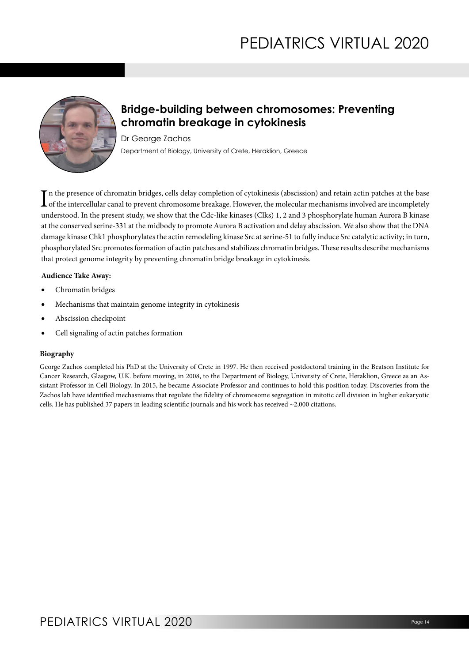

## **Bridge-building between chromosomes: Preventing chromatin breakage in cytokinesis**

Dr George Zachos Department of Biology, University of Crete, Heraklion, Greece

In the presence of chromatin bridges, cells delay completion of cytokinesis (abscission) and retain actin patches at the base<br>of the intercellular canal to prevent chromosome breakage. However, the molecular mechanisms inv  $\sf L$  of the intercellular canal to prevent chromosome breakage. However, the molecular mechanisms involved are incompletely understood. In the present study, we show that the Cdc-like kinases (Clks) 1, 2 and 3 phosphorylate human Aurora B kinase at the conserved serine-331 at the midbody to promote Aurora B activation and delay abscission. We also show that the DNA damage kinase Chk1 phosphorylates the actin remodeling kinase Src at serine-51 to fully induce Src catalytic activity; in turn, phosphorylated Src promotes formation of actin patches and stabilizes chromatin bridges. These results describe mechanisms that protect genome integrity by preventing chromatin bridge breakage in cytokinesis.

#### **Audience Take Away:**

- Chromatin bridges
- Mechanisms that maintain genome integrity in cytokinesis
- Abscission checkpoint
- Cell signaling of actin patches formation

#### **Biography**

George Zachos completed his PhD at the University of Crete in 1997. He then received postdoctoral training in the Beatson Institute for Cancer Research, Glasgow, U.K. before moving, in 2008, to the Department of Biology, University of Crete, Heraklion, Greece as an Assistant Professor in Cell Biology. In 2015, he became Associate Professor and continues to hold this position today. Discoveries from the Zachos lab have identified mechasnisms that regulate the fidelity of chromosome segregation in mitotic cell division in higher eukaryotic cells. He has published 37 papers in leading scientific journals and his work has received ~2,000 citations.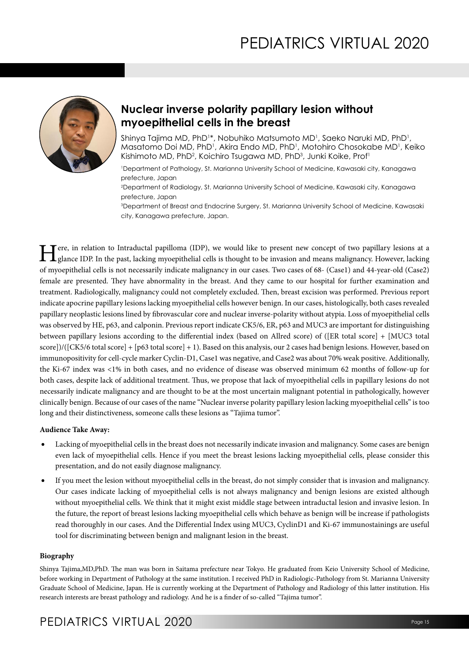

## **Nuclear inverse polarity papillary lesion without myoepithelial cells in the breast**

Shinya Tajima MD, PhD1\*, Nobuhiko Matsumoto MD1, Saeko Naruki MD, PhD1, Masatomo Doi MD, PhD<sup>1</sup>, Akira Endo MD, PhD<sup>1</sup>, Motohiro Chosokabe MD<sup>1</sup>, Keiko Kishimoto MD, PhD<sup>2</sup>, Koichiro Tsugawa MD, PhD<sup>3</sup>, Junki Koike, Prof<sup>1</sup>

1 Department of Pathology, St. Marianna University School of Medicine, Kawasaki city, Kanagawa prefecture, Japan

2 Department of Radiology, St. Marianna University School of Medicine, Kawasaki city, Kanagawa prefecture, Japan

3 Department of Breast and Endocrine Surgery, St. Marianna University School of Medicine, Kawasaki city, Kanagawa prefecture, Japan.

Tere, in relation to Intraductal papilloma (IDP), we would like to present new concept of two papillary lesions at a glance IDP. In the past, lacking myoepithelial cells is thought to be invasion and means malignancy. Howe of myoepithelial cells is not necessarily indicate malignancy in our cases. Two cases of 68- (Case1) and 44-year-old (Case2) female are presented. They have abnormality in the breast. And they came to our hospital for further examination and treatment. Radiologically, malignancy could not completely excluded. Then, breast excision was performed. Previous report indicate apocrine papillary lesions lacking myoepithelial cells however benign. In our cases, histologically, both cases revealed papillary neoplastic lesions lined by fibrovascular core and nuclear inverse-polarity without atypia. Loss of myoepithelial cells was observed by HE, p63, and calponin. Previous report indicate CK5/6, ER, p63 and MUC3 are important for distinguishing between papillary lesions according to the differential index (based on Allred score) of ([ER total score] + [MUC3 total score])/([CK5/6 total score] + [p63 total score] + 1). Based on this analysis, our 2 cases had benign lesions. However, based on immunopositivity for cell-cycle marker Cyclin-D1, Case1 was negative, and Case2 was about 70% weak positive. Additionally, the Ki-67 index was <1% in both cases, and no evidence of disease was observed minimum 62 months of follow-up for both cases, despite lack of additional treatment. Thus, we propose that lack of myoepithelial cells in papillary lesions do not necessarily indicate malignancy and are thought to be at the most uncertain malignant potential in pathologically, however clinically benign. Because of our cases of the name "Nuclear inverse polarity papillary lesion lacking myoepithelial cells" is too long and their distinctiveness, someone calls these lesions as "Tajima tumor".

#### **Audience Take Away:**

- Lacking of myoepithelial cells in the breast does not necessarily indicate invasion and malignancy. Some cases are benign even lack of myoepithelial cells. Hence if you meet the breast lesions lacking myoepithelial cells, please consider this presentation, and do not easily diagnose malignancy.
- If you meet the lesion without myoepithelial cells in the breast, do not simply consider that is invasion and malignancy. Our cases indicate lacking of myoepithelial cells is not always malignancy and benign lesions are existed although without myoepithelial cells. We think that it might exist middle stage between intraductal lesion and invasive lesion. In the future, the report of breast lesions lacking myoepithelial cells which behave as benign will be increase if pathologists read thoroughly in our cases. And the Differential Index using MUC3, CyclinD1 and Ki-67 immunostainings are useful tool for discriminating between benign and malignant lesion in the breast.

#### **Biography**

Shinya Tajima,MD,PhD. The man was born in Saitama prefecture near Tokyo. He graduated from Keio University School of Medicine, before working in Department of Pathology at the same institution. I received PhD in Radiologic-Pathology from St. Marianna University Graduate School of Medicine, Japan. He is currently working at the Department of Pathology and Radiology of this latter institution. His research interests are breast pathology and radiology. And he is a finder of so-called "Tajima tumor".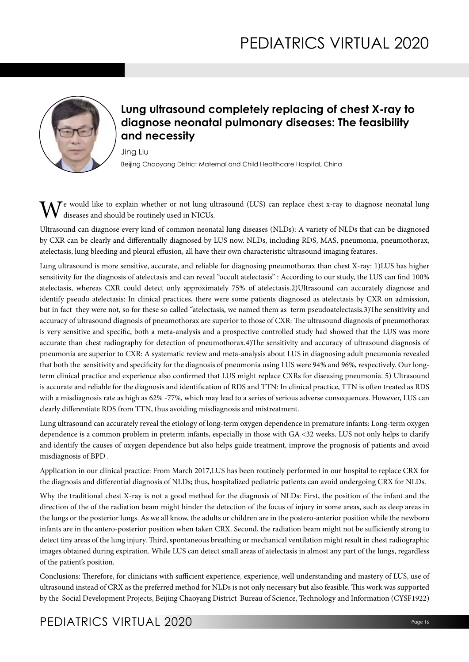

## **Lung ultrasound completely replacing of chest X-ray to diagnose neonatal pulmonary diseases: The feasibility and necessity**

Jing Liu Beijing Chaoyang District Maternal and Child Healthcare Hospital, China

 $\mathcal T$ e would like to explain whether or not lung ultrasound (LUS) can replace chest x-ray to diagnose neonatal lung diseases and should be routinely used in NICUs.

Ultrasound can diagnose every kind of common neonatal lung diseases (NLDs): A variety of NLDs that can be diagnosed by CXR can be clearly and differentially diagnosed by LUS now. NLDs, including RDS, MAS, pneumonia, pneumothorax, atelectasis, lung bleeding and pleural effusion, all have their own characteristic ultrasound imaging features.

Lung ultrasound is more sensitive, accurate, and reliable for diagnosing pneumothorax than chest X-ray: 1)LUS has higher sensitivity for the diagnosis of atelectasis and can reveal "occult atelectasis" : According to our study, the LUS can find 100% atelectasis, whereas CXR could detect only approximately 75% of atelectasis.2)Ultrasound can accurately diagnose and identify pseudo atelectasis: In clinical practices, there were some patients diagnosed as atelectasis by CXR on admission, but in fact they were not, so for these so called "atelectasis, we named them as term pseudoatelectasis.3)The sensitivity and accuracy of ultrasound diagnosis of pneumothorax are superior to those of CXR: The ultrasound diagnosis of pneumothorax is very sensitive and specific, both a meta-analysis and a prospective controlled study had showed that the LUS was more accurate than chest radiography for detection of pneumothorax.4)The sensitivity and accuracy of ultrasound diagnosis of pneumonia are superior to CXR: A systematic review and meta-analysis about LUS in diagnosing adult pneumonia revealed that both the sensitivity and specificity for the diagnosis of pneumonia using LUS were 94% and 96%, respectively. Our longterm clinical practice and experience also confirmed that LUS might replace CXRs for diseasing pneumonia. 5) Ultrasound is accurate and reliable for the diagnosis and identification of RDS and TTN: In clinical practice, TTN is often treated as RDS with a misdiagnosis rate as high as 62% -77%, which may lead to a series of serious adverse consequences. However, LUS can clearly differentiate RDS from TTN, thus avoiding misdiagnosis and mistreatment.

Lung ultrasound can accurately reveal the etiology of long-term oxygen dependence in premature infants: Long-term oxygen dependence is a common problem in preterm infants, especially in those with GA <32 weeks. LUS not only helps to clarify and identify the causes of oxygen dependence but also helps guide treatment, improve the prognosis of patients and avoid misdiagnosis of BPD .

Application in our clinical practice: From March 2017,LUS has been routinely performed in our hospital to replace CRX for the diagnosis and differential diagnosis of NLDs; thus, hospitalized pediatric patients can avoid undergoing CRX for NLDs.

Why the traditional chest X-ray is not a good method for the diagnosis of NLDs: First, the position of the infant and the direction of the of the radiation beam might hinder the detection of the focus of injury in some areas, such as deep areas in the lungs or the posterior lungs. As we all know, the adults or children are in the postero-anterior position while the newborn infants are in the antero-posterior position when taken CRX. Second, the radiation beam might not be sufficiently strong to detect tiny areas of the lung injury. Third, spontaneous breathing or mechanical ventilation might result in chest radiographic images obtained during expiration. While LUS can detect small areas of atelectasis in almost any part of the lungs, regardless of the patient's position.

Conclusions: Therefore, for clinicians with sufficient experience, experience, well understanding and mastery of LUS, use of ultrasound instead of CRX as the preferred method for NLDs is not only necessary but also feasible. This work was supported by the Social Development Projects, Beijing Chaoyang District Bureau of Science, Technology and Information (CYSF1922)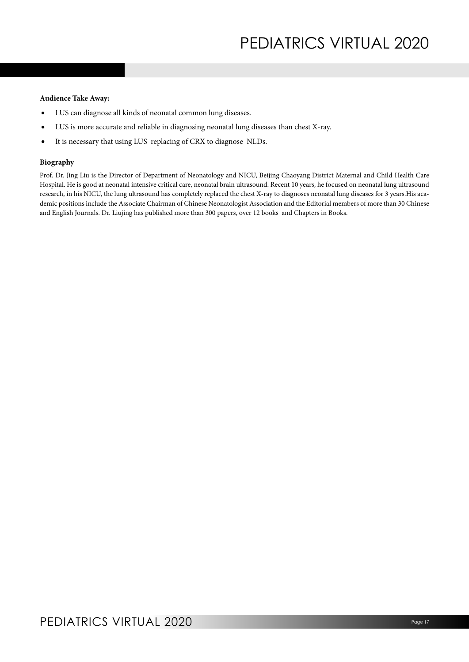#### **Audience Take Away:**

- LUS can diagnose all kinds of neonatal common lung diseases.
- LUS is more accurate and reliable in diagnosing neonatal lung diseases than chest X-ray.
- • It is necessary that using LUS replacing of CRX to diagnose NLDs.

#### **Biography**

Prof. Dr. Jing Liu is the Director of Department of Neonatology and NICU, Beijing Chaoyang District Maternal and Child Health Care Hospital. He is good at neonatal intensive critical care, neonatal brain ultrasound. Recent 10 years, he focused on neonatal lung ultrasound research, in his NICU, the lung ultrasound has completely replaced the chest X-ray to diagnoses neonatal lung diseases for 3 years.His academic positions include the Associate Chairman of Chinese Neonatologist Association and the Editorial members of more than 30 Chinese and English Journals. Dr. Liujing has published more than 300 papers, over 12 books and Chapters in Books.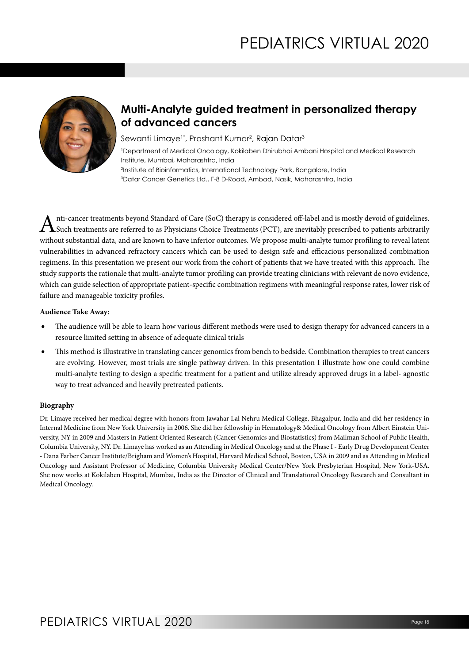

## **Multi-Analyte guided treatment in personalized therapy of advanced cancers**

Sewanti Limaye1\*, Prashant Kumar<sup>2</sup>, Rajan Datar<sup>3</sup>

1 Department of Medical Oncology, Kokilaben Dhirubhai Ambani Hospital and Medical Research Institute, Mumbai, Maharashtra, India 2 Institute of Bioinformatics, International Technology Park, Bangalore, India

3 Datar Cancer Genetics Ltd., F-8 D-Road, Ambad, Nasik, Maharashtra, India

Anti-cancer treatments beyond Standard of Care (SoC) therapy is considered off-label and is mostly devoid of guidelines. Such treatments are referred to as Physicians Choice Treatments (PCT), are inevitably prescribed to patients arbitrarily without substantial data, and are known to have inferior outcomes. We propose multi-analyte tumor profiling to reveal latent vulnerabilities in advanced refractory cancers which can be used to design safe and efficacious personalized combination regimens. In this presentation we present our work from the cohort of patients that we have treated with this approach. The study supports the rationale that multi-analyte tumor profiling can provide treating clinicians with relevant de novo evidence, which can guide selection of appropriate patient-specific combination regimens with meaningful response rates, lower risk of failure and manageable toxicity profiles.

#### **Audience Take Away:**

- The audience will be able to learn how various different methods were used to design therapy for advanced cancers in a resource limited setting in absence of adequate clinical trials
- This method is illustrative in translating cancer genomics from bench to bedside. Combination therapies to treat cancers are evolving. However, most trials are single pathway driven. In this presentation I illustrate how one could combine multi-analyte testing to design a specific treatment for a patient and utilize already approved drugs in a label- agnostic way to treat advanced and heavily pretreated patients.

### **Biography**

Dr. Limaye received her medical degree with honors from Jawahar Lal Nehru Medical College, Bhagalpur, India and did her residency in Internal Medicine from New York University in 2006. She did her fellowship in Hematology& Medical Oncology from Albert Einstein University, NY in 2009 and Masters in Patient Oriented Research (Cancer Genomics and Biostatistics) from Mailman School of Public Health, Columbia University, NY. Dr. Limaye has worked as an Attending in Medical Oncology and at the Phase I - Early Drug Development Center - Dana Farber Cancer Institute/Brigham and Women's Hospital, Harvard Medical School, Boston, USA in 2009 and as Attending in Medical Oncology and Assistant Professor of Medicine, Columbia University Medical Center/New York Presbyterian Hospital, New York-USA. She now works at Kokilaben Hospital, Mumbai, India as the Director of Clinical and Translational Oncology Research and Consultant in Medical Oncology.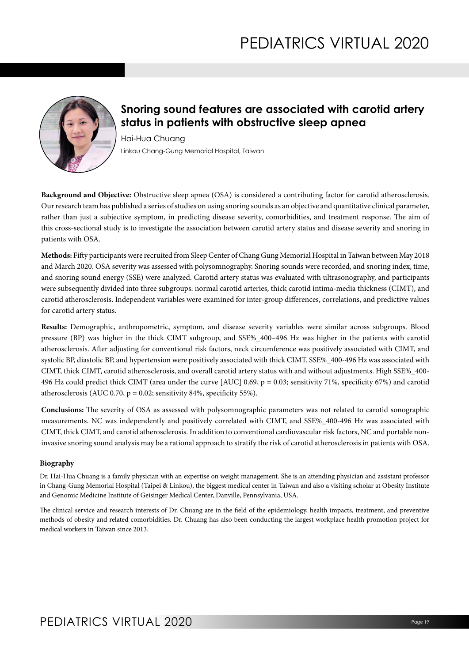

## **Snoring sound features are associated with carotid artery status in patients with obstructive sleep apnea**

Hai-Hua Chuang Linkou Chang-Gung Memorial Hospital, Taiwan

**Background and Objective:** Obstructive sleep apnea (OSA) is considered a contributing factor for carotid atherosclerosis. Our research team has published a series of studies on using snoring sounds as an objective and quantitative clinical parameter, rather than just a subjective symptom, in predicting disease severity, comorbidities, and treatment response. The aim of this cross-sectional study is to investigate the association between carotid artery status and disease severity and snoring in patients with OSA.

**Methods:** Fifty participants were recruited from Sleep Center of Chang Gung Memorial Hospital in Taiwan between May 2018 and March 2020. OSA severity was assessed with polysomnography. Snoring sounds were recorded, and snoring index, time, and snoring sound energy (SSE) were analyzed. Carotid artery status was evaluated with ultrasonography, and participants were subsequently divided into three subgroups: normal carotid arteries, thick carotid intima-media thickness (CIMT), and carotid atherosclerosis. Independent variables were examined for inter-group differences, correlations, and predictive values for carotid artery status.

**Results:** Demographic, anthropometric, symptom, and disease severity variables were similar across subgroups. Blood pressure (BP) was higher in the thick CIMT subgroup, and SSE%\_400–496 Hz was higher in the patients with carotid atherosclerosis. After adjusting for conventional risk factors, neck circumference was positively associated with CIMT, and systolic BP, diastolic BP, and hypertension were positively associated with thick CIMT. SSE%\_400-496 Hz was associated with CIMT, thick CIMT, carotid atherosclerosis, and overall carotid artery status with and without adjustments. High SSE%\_400- 496 Hz could predict thick CIMT (area under the curve [AUC] 0.69, p = 0.03; sensitivity 71%, specificity 67%) and carotid atherosclerosis (AUC 0.70,  $p = 0.02$ ; sensitivity 84%, specificity 55%).

**Conclusions:** The severity of OSA as assessed with polysomnographic parameters was not related to carotid sonographic measurements. NC was independently and positively correlated with CIMT, and SSE%\_400-496 Hz was associated with CIMT, thick CIMT, and carotid atherosclerosis. In addition to conventional cardiovascular risk factors, NC and portable noninvasive snoring sound analysis may be a rational approach to stratify the risk of carotid atherosclerosis in patients with OSA.

### **Biography**

Dr. Hai-Hua Chuang is a family physician with an expertise on weight management. She is an attending physician and assistant professor in Chang-Gung Memorial Hospital (Taipei & Linkou), the biggest medical center in Taiwan and also a visiting scholar at Obesity Institute and Genomic Medicine Institute of Geisinger Medical Center, Danville, Pennsylvania, USA.

The clinical service and research interests of Dr. Chuang are in the field of the epidemiology, health impacts, treatment, and preventive methods of obesity and related comorbidities. Dr. Chuang has also been conducting the largest workplace health promotion project for medical workers in Taiwan since 2013.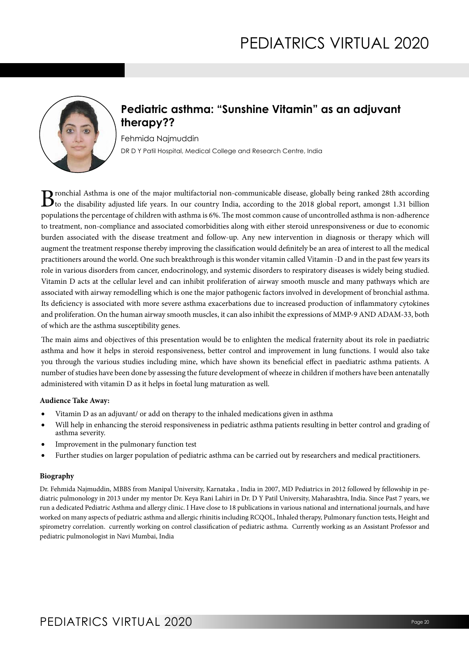

## **Pediatric asthma: "Sunshine Vitamin" as an adjuvant therapy??**

Fehmida Najmuddin DR D Y Patil Hospital, Medical College and Research Centre, India

B ronchial Asthma is one of the major multifactorial non-communicable disease, globally being ranked 28th according<br>to the disability adjusted life years. In our country India, according to the 2018 global report, amongst populations the percentage of children with asthma is 6%. The most common cause of uncontrolled asthma is non-adherence to treatment, non-compliance and associated comorbidities along with either steroid unresponsiveness or due to economic burden associated with the disease treatment and follow-up. Any new intervention in diagnosis or therapy which will augment the treatment response thereby improving the classification would definitely be an area of interest to all the medical practitioners around the world. One such breakthrough is this wonder vitamin called Vitamin -D and in the past few years its role in various disorders from cancer, endocrinology, and systemic disorders to respiratory diseases is widely being studied. Vitamin D acts at the cellular level and can inhibit proliferation of airway smooth muscle and many pathways which are associated with airway remodelling which is one the major pathogenic factors involved in development of bronchial asthma. Its deficiency is associated with more severe asthma exacerbations due to increased production of inflammatory cytokines and proliferation. On the human airway smooth muscles, it can also inhibit the expressions of MMP-9 AND ADAM-33, both of which are the asthma susceptibility genes.

The main aims and objectives of this presentation would be to enlighten the medical fraternity about its role in paediatric asthma and how it helps in steroid responsiveness, better control and improvement in lung functions. I would also take you through the various studies including mine, which have shown its beneficial effect in paediatric asthma patients. A number of studies have been done by assessing the future development of wheeze in children if mothers have been antenatally administered with vitamin D as it helps in foetal lung maturation as well.

#### **Audience Take Away:**

- Vitamin  $D$  as an adjuvant/ or add on therapy to the inhaled medications given in asthma
- Will help in enhancing the steroid responsiveness in pediatric asthma patients resulting in better control and grading of asthma severity.
- Improvement in the pulmonary function test
- Further studies on larger population of pediatric asthma can be carried out by researchers and medical practitioners.

### **Biography**

Dr. Fehmida Najmuddin, MBBS from Manipal University, Karnataka , India in 2007, MD Pediatrics in 2012 followed by fellowship in pediatric pulmonology in 2013 under my mentor Dr. Keya Rani Lahiri in Dr. D Y Patil University, Maharashtra, India. Since Past 7 years, we run a dedicated Pediatric Asthma and allergy clinic. I Have close to 18 publications in various national and international journals, and have worked on many aspects of pediatric asthma and allergic rhinitis including RCQOL, Inhaled therapy, Pulmonary function tests, Height and spirometry correlation. currently working on control classification of pediatric asthma. Currently working as an Assistant Professor and pediatric pulmonologist in Navi Mumbai, India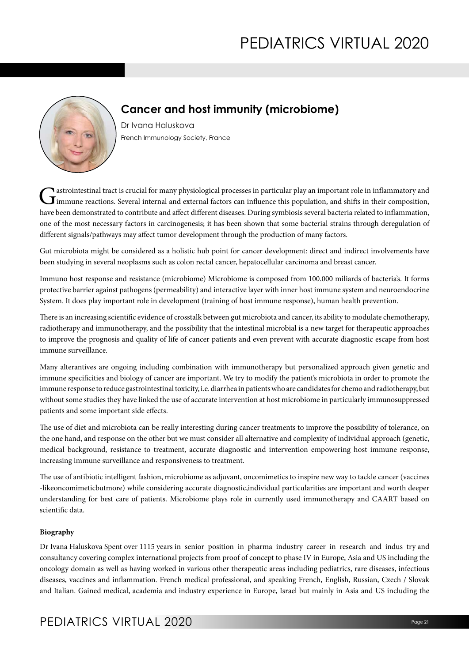

## **Cancer and host immunity (microbiome)**

Dr Ivana Haluskova French Immunology Society, France

Gastrointestinal tract is crucial for many physiological processes in particular play an important role in inflammatory and immune reactions. Several internal and external factors can influence this population, and shifts have been demonstrated to contribute and affect different diseases. During symbiosis several bacteria related to inflammation, one of the most necessary factors in carcinogenesis; it has been shown that some bacterial strains through deregulation of different signals/pathways may affect tumor development through the production of many factors.

Gut microbiota might be considered as a holistic hub point for cancer development: direct and indirect involvements have been studying in several neoplasms such as colon rectal cancer, hepatocellular carcinoma and breast cancer.

Immuno host response and resistance (microbiome) Microbiome is composed from 100.000 miliards of bacteria's. It forms protective barrier against pathogens (permeability) and interactive layer with inner host immune system and neuroendocrine System. It does play important role in development (training of host immune response), human health prevention.

There is an increasing scientific evidence of crosstalk between gut microbiota and cancer, its ability to modulate chemotherapy, radiotherapy and immunotherapy, and the possibility that the intestinal microbial is a new target for therapeutic approaches to improve the prognosis and quality of life of cancer patients and even prevent with accurate diagnostic escape from host immune surveillance.

Many alterantives are ongoing including combination with immunotherapy but personalized approach given genetic and immune specificities and biology of cancer are important. We try to modify the patient's microbiota in order to promote the immune response to reduce gastrointestinal toxicity, i.e. diarrhea in patients who are candidates for chemo and radiotherapy, but without some studies they have linked the use of accurate intervention at host microbiome in particularly immunosuppressed patients and some important side effects.

The use of diet and microbiota can be really interesting during cancer treatments to improve the possibility of tolerance, on the one hand, and response on the other but we must consider all alternative and complexity of individual approach (genetic, medical background, resistance to treatment, accurate diagnostic and intervention empowering host immune response, increasing immune surveillance and responsiveness to treatment.

The use of antibiotic intelligent fashion, microbiome as adjuvant, oncomimetics to inspire new way to tackle cancer (vaccines -likeoncomimeticbutmore) while considering accurate diagnostic,individual particularities are important and worth deeper understanding for best care of patients. Microbiome plays role in currently used immunotherapy and CAART based on scientific data.

### **Biography**

Dr Ivana Haluskova Spent over 1115 years in senior position in pharma industry career in research and indus try and consultancy covering complex international projects from proof of concept to phase IV in Europe, Asia and US including the oncology domain as well as having worked in various other therapeutic areas including pediatrics, rare diseases, infectious diseases, vaccines and inflammation. French medical professional, and speaking French, English, Russian, Czech / Slovak and Italian. Gained medical, academia and industry experience in Europe, Israel but mainly in Asia and US including the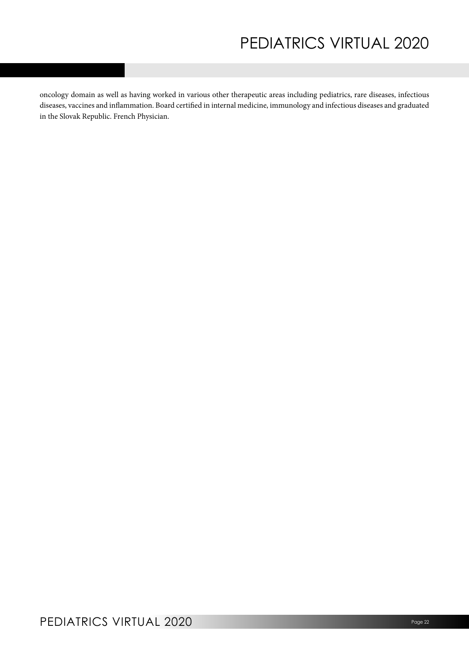oncology domain as well as having worked in various other therapeutic areas including pediatrics, rare diseases, infectious diseases, vaccines and inflammation. Board certified in internal medicine, immunology and infectious diseases and graduated in the Slovak Republic. French Physician.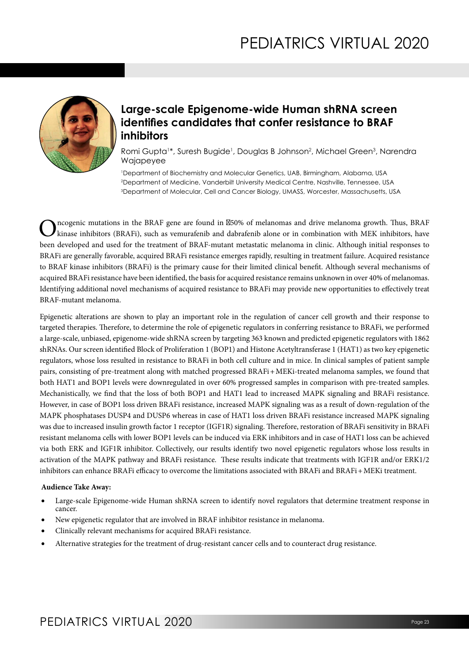

## **Large-scale Epigenome-wide Human shRNA screen identifies candidates that confer resistance to BRAF inhibitors**

Romi Gupta1 \*, Suresh Bugide<sup>1</sup> , Douglas B Johnson<sup>2</sup> , Michael Green<sup>3</sup> , Narendra Wajapeyee

1 Department of Biochemistry and Molecular Genetics, UAB, Birmingham, Alabama, USA 2 Department of Medicine, Vanderbilt University Medical Centre, Nashville, Tennessee, USA 3 Department of Molecular, Cell and Cancer Biology, UMASS, Worcester, Massachusetts, USA

C ncogenic mutations in the BRAF gene are found in −50% of melanomas and drive melanoma growth. Thus, BRAF kinase inhibitors (BRAFi), such as vemurafenib and dabrafenib alone or in combination with MEK inhibitors, have been developed and used for the treatment of BRAF-mutant metastatic melanoma in clinic. Although initial responses to BRAFi are generally favorable, acquired BRAFi resistance emerges rapidly, resulting in treatment failure. Acquired resistance to BRAF kinase inhibitors (BRAFi) is the primary cause for their limited clinical benefit. Although several mechanisms of acquired BRAFi resistance have been identified, the basis for acquired resistance remains unknown in over 40% of melanomas. Identifying additional novel mechanisms of acquired resistance to BRAFi may provide new opportunities to effectively treat BRAF-mutant melanoma.

Epigenetic alterations are shown to play an important role in the regulation of cancer cell growth and their response to targeted therapies. Therefore, to determine the role of epigenetic regulators in conferring resistance to BRAFi, we performed a large-scale, unbiased, epigenome-wide shRNA screen by targeting 363 known and predicted epigenetic regulators with 1862 shRNAs. Our screen identified Block of Proliferation 1 (BOP1) and Histone Acetyltransferase 1 (HAT1) as two key epigenetic regulators, whose loss resulted in resistance to BRAFi in both cell culture and in mice. In clinical samples of patient sample pairs, consisting of pre-treatment along with matched progressed BRAFi+MEKi-treated melanoma samples, we found that both HAT1 and BOP1 levels were downregulated in over 60% progressed samples in comparison with pre-treated samples. Mechanistically, we find that the loss of both BOP1 and HAT1 lead to increased MAPK signaling and BRAFi resistance. However, in case of BOP1 loss driven BRAFi resistance, increased MAPK signaling was as a result of down-regulation of the MAPK phosphatases DUSP4 and DUSP6 whereas in case of HAT1 loss driven BRAFi resistance increased MAPK signaling was due to increased insulin growth factor 1 receptor (IGF1R) signaling. Therefore, restoration of BRAFi sensitivity in BRAFi resistant melanoma cells with lower BOP1 levels can be induced via ERK inhibitors and in case of HAT1 loss can be achieved via both ERK and IGF1R inhibitor. Collectively, our results identify two novel epigenetic regulators whose loss results in activation of the MAPK pathway and BRAFi resistance. These results indicate that treatments with IGF1R and/or ERK1/2 inhibitors can enhance BRAFi efficacy to overcome the limitations associated with BRAFi and BRAFi+MEKi treatment.

#### **Audience Take Away:**

- Large-scale Epigenome-wide Human shRNA screen to identify novel regulators that determine treatment response in cancer.
- New epigenetic regulator that are involved in BRAF inhibitor resistance in melanoma.
- Clinically relevant mechanisms for acquired BRAFi resistance.
- Alternative strategies for the treatment of drug-resistant cancer cells and to counteract drug resistance.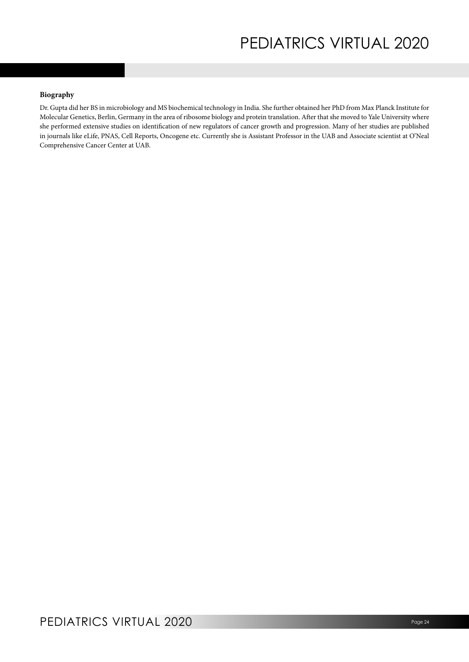### **Biography**

Dr. Gupta did her BS in microbiology and MS biochemical technology in India. She further obtained her PhD from Max Planck Institute for Molecular Genetics, Berlin, Germany in the area of ribosome biology and protein translation. After that she moved to Yale University where she performed extensive studies on identification of new regulators of cancer growth and progression. Many of her studies are published in journals like eLife, PNAS, Cell Reports, Oncogene etc. Currently she is Assistant Professor in the UAB and Associate scientist at O'Neal Comprehensive Cancer Center at UAB.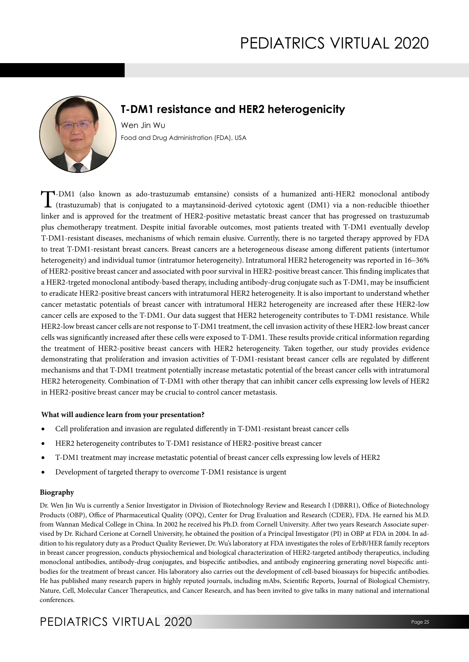

## **T-DM1 resistance and HER2 heterogenicity**

Wen Jin Wu Food and Drug Administration (FDA), USA

T-DM1 (also known as ado-trastuzumab emtansine) consists of a humanized anti-HER2 monoclonal antibody (trastuzumab) that is conjugated to a maytansinoid-derived cytotoxic agent (DM1) via a non-reducible thioether linker and is approved for the treatment of HER2-positive metastatic breast cancer that has progressed on trastuzumab plus chemotherapy treatment. Despite initial favorable outcomes, most patients treated with T-DM1 eventually develop T-DM1-resistant diseases, mechanisms of which remain elusive. Currently, there is no targeted therapy approved by FDA to treat T-DM1-resistant breast cancers. Breast cancers are a heterogeneous disease among different patients (intertumor heterogeneity) and individual tumor (intratumor heterogeneity). Intratumoral HER2 heterogeneity was reported in 16–36% of HER2-positive breast cancer and associated with poor survival in HER2-positive breast cancer. This finding implicates that a HER2-trgeted monoclonal antibody-based therapy, including antibody-drug conjugate such as T-DM1, may be insufficient to eradicate HER2-positive breast cancers with intratumoral HER2 heterogeneity. It is also important to understand whether cancer metastatic potentials of breast cancer with intratumoral HER2 heterogeneity are increased after these HER2-low cancer cells are exposed to the T-DM1. Our data suggest that HER2 heterogeneity contributes to T-DM1 resistance. While HER2-low breast cancer cells are not response to T-DM1 treatment, the cell invasion activity of these HER2-low breast cancer cells was significantly increased after these cells were exposed to T-DM1. These results provide critical information regarding the treatment of HER2-positive breast cancers with HER2 heterogeneity. Taken together, our study provides evidence demonstrating that proliferation and invasion activities of T-DM1-resistant breast cancer cells are regulated by different mechanisms and that T-DM1 treatment potentially increase metastatic potential of the breast cancer cells with intratumoral HER2 heterogeneity. Combination of T-DM1 with other therapy that can inhibit cancer cells expressing low levels of HER2 in HER2-positive breast cancer may be crucial to control cancer metastasis.

#### **What will audience learn from your presentation?**

- Cell proliferation and invasion are regulated differently in T-DM1-resistant breast cancer cells
- HER2 heterogeneity contributes to T-DM1 resistance of HER2-positive breast cancer
- T-DM1 treatment may increase metastatic potential of breast cancer cells expressing low levels of HER2
- Development of targeted therapy to overcome T-DM1 resistance is urgent

#### **Biography**

Dr. Wen Jin Wu is currently a Senior Investigator in Division of Biotechnology Review and Research I (DBRR1), Office of Biotechnology Products (OBP), Office of Pharmaceutical Quality (OPQ), Center for Drug Evaluation and Research (CDER), FDA. He earned his M.D. from Wannan Medical College in China. In 2002 he received his Ph.D. from Cornell University. After two years Research Associate supervised by Dr. Richard Cerione at Cornell University, he obtained the position of a Principal Investigator (PI) in OBP at FDA in 2004. In addition to his regulatory duty as a Product Quality Reviewer, Dr. Wu's laboratory at FDA investigates the roles of ErbB/HER family receptors in breast cancer progression, conducts physiochemical and biological characterization of HER2-targeted antibody therapeutics, including monoclonal antibodies, antibody-drug conjugates, and bispecific antibodies, and antibody engineering generating novel bispecific antibodies for the treatment of breast cancer. His laboratory also carries out the development of cell-based bioassays for bispecific antibodies. He has published many research papers in highly reputed journals, including mAbs, Scientific Reports, Journal of Biological Chemistry, Nature, Cell, Molecular Cancer Therapeutics, and Cancer Research, and has been invited to give talks in many national and international conferences.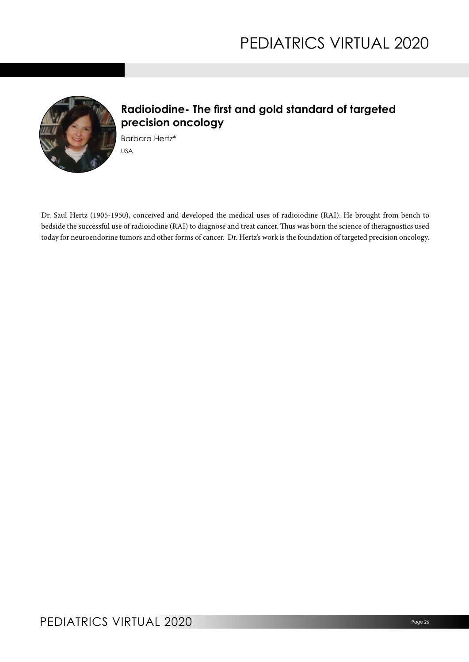

## **Radioiodine- The first and gold standard of targeted precision oncology**

Barbara Hertz\* USA

Dr. Saul Hertz (1905-1950), conceived and developed the medical uses of radioiodine (RAI). He brought from bench to bedside the successful use of radioiodine (RAI) to diagnose and treat cancer. Thus was born the science of theragnostics used today for neuroendorine tumors and other forms of cancer. Dr. Hertz's work is the foundation of targeted precision oncology.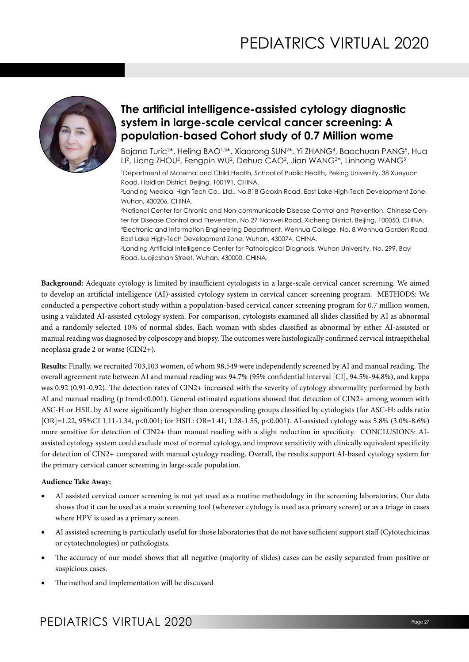

## **The artificial intelligence-assisted cytology diagnostic system in large-scale cervical cancer screening: A population-based Cohort study of 0.7 Million wome**

Bojana Turic<sup>2</sup>\*, Heling BAO<sup>1,3</sup>\*, Xiaorong SUN<sup>2</sup>\*, Yi ZHANG<sup>4</sup>, Baochuan PANG<sup>5</sup>, Hua Ll², Liang ZHOU², Fengpin WU², Dehua CAO², Jian WANG²\*, Linhong WANG<sup>3</sup>

1 Department of Maternal and Child Health, School of Public Health, Peking University, 38 Xueyuan Road, Haidian District, Beijing, 100191, CHINA.

2 Landing Medical High Tech Co., Ltd., No.818 Gaoxin Road, East Lake High-Tech Development Zone, Wuhan, 430206, CHINA.

3 National Center for Chronic and Non-communicable Disease Control and Prevention, Chinese Center for Disease Control and Prevention, No.27 Nanwei Road, Xicheng District, Beijing, 100050, CHINA. 4 Electronic and Information Engineering Department, Wenhua College, No. 8 Wehhua Garden Road, East Lake High-Tech Development Zone, Wuhan, 430074, CHINA.

5 Landing Artificial Intelligence Center for Pathological Diagnosis, Wuhan University, No. 299, Bayi Road, Luojiashan Street, Wuhan, 430000, CHINA.

**Background:** Adequate cytology is limited by insufficient cytologists in a large-scale cervical cancer screening. We aimed to develop an artificial intelligence (AI)-assisted cytology system in cervical cancer screening program. METHODS: We conducted a perspective cohort study within a population-based cervical cancer screening program for 0.7 million women, using a validated AI-assisted cytology system. For comparison, cytologists examined all slides classified by AI as abnormal and a randomly selected 10% of normal slides. Each woman with slides classified as abnormal by either AI-assisted or manual reading was diagnosed by colposcopy and biopsy. The outcomes were histologically confirmed cervical intraepithelial neoplasia grade 2 or worse (CIN2+).

**Results:** Finally, we recruited 703,103 women, of whom 98,549 were independently screened by AI and manual reading. The overall agreement rate between AI and manual reading was 94.7% (95% confidential interval [CI], 94.5%-94.8%), and kappa was 0.92 (0.91-0.92). The detection rates of CIN2+ increased with the severity of cytology abnormality performed by both AI and manual reading (p trend<0.001). General estimated equations showed that detection of CIN2+ among women with ASC-H or HSIL by AI were significantly higher than corresponding groups classified by cytologists (for ASC-H: odds ratio [OR]=1.22, 95%CI 1.11-1.34, p<0.001; for HSIL: OR=1.41, 1.28-1.55, p<0.001). AI-assisted cytology was 5.8% (3.0%-8.6%) more sensitive for detection of CIN2+ than manual reading with a slight reduction in specificity. CONCLUSIONS: AIassisted cytology system could exclude most of normal cytology, and improve sensitivity with clinically equivalent specificity for detection of CIN2+ compared with manual cytology reading. Overall, the results support AI-based cytology system for the primary cervical cancer screening in large-scale population.

#### **Audience Take Away:**

- AI assisted cervical cancer screening is not yet used as a routine methodology in the screening laboratories. Our data shows that it can be used as a main screening tool (wherever cytology is used as a primary screen) or as a triage in cases where HPV is used as a primary screen.
- AI assisted screening is particularly useful for those laboratories that do not have sufficient support staff (Cytotechicinas or cytotechnologies) or pathologists.
- The accuracy of our model shows that all negative (majority of slides) cases can be easily separated from positive or suspicious cases.
- The method and implementation will be discussed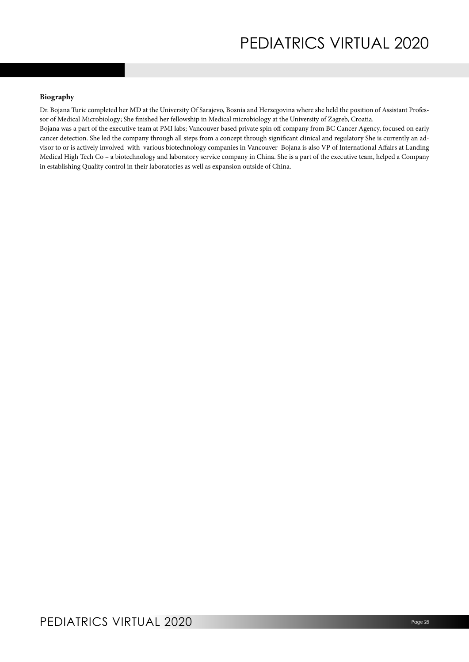#### **Biography**

Dr. Bojana Turic completed her MD at the University Of Sarajevo, Bosnia and Herzegovina where she held the position of Assistant Professor of Medical Microbiology; She finished her fellowship in Medical microbiology at the University of Zagreb, Croatia.

Bojana was a part of the executive team at PMI labs; Vancouver based private spin off company from BC Cancer Agency, focused on early cancer detection. She led the company through all steps from a concept through significant clinical and regulatory She is currently an advisor to or is actively involved with various biotechnology companies in Vancouver Bojana is also VP of International Affairs at Landing Medical High Tech Co – a biotechnology and laboratory service company in China. She is a part of the executive team, helped a Company in establishing Quality control in their laboratories as well as expansion outside of China.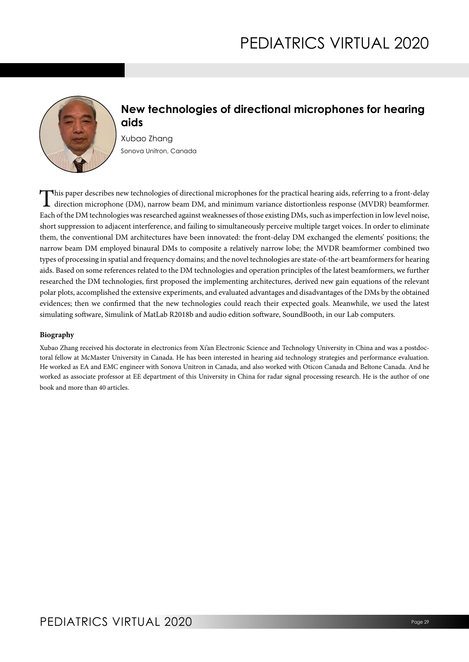

## **New technologies of directional microphones for hearing aids**

Xubao Zhang Sonova Unitron, Canada

This paper describes new technologies of directional microphones for the practical hearing aids, referring to a front-delay  $\sf L$  direction microphone (DM), narrow beam DM, and minimum variance distortionless response (MVDR) beamformer. Each of the DM technologies was researched against weaknesses of those existing DMs, such as imperfection in low level noise, short suppression to adjacent interference, and failing to simultaneously perceive multiple target voices. In order to eliminate them, the conventional DM architectures have been innovated: the front-delay DM exchanged the elements' positions; the narrow beam DM employed binaural DMs to composite a relatively narrow lobe; the MVDR beamformer combined two types of processing in spatial and frequency domains; and the novel technologies are state-of-the-art beamformers for hearing aids. Based on some references related to the DM technologies and operation principles of the latest beamformers, we further researched the DM technologies, first proposed the implementing architectures, derived new gain equations of the relevant polar plots, accomplished the extensive experiments, and evaluated advantages and disadvantages of the DMs by the obtained evidences; then we confirmed that the new technologies could reach their expected goals. Meanwhile, we used the latest simulating software, Simulink of MatLab R2018b and audio edition software, SoundBooth, in our Lab computers.

### **Biography**

Xubao Zhang received his doctorate in electronics from Xi'an Electronic Science and Technology University in China and was a postdoctoral fellow at McMaster University in Canada. He has been interested in hearing aid technology strategies and performance evaluation. He worked as EA and EMC engineer with Sonova Unitron in Canada, and also worked with Oticon Canada and Beltone Canada. And he worked as associate professor at EE department of this University in China for radar signal processing research. He is the author of one book and more than 40 articles.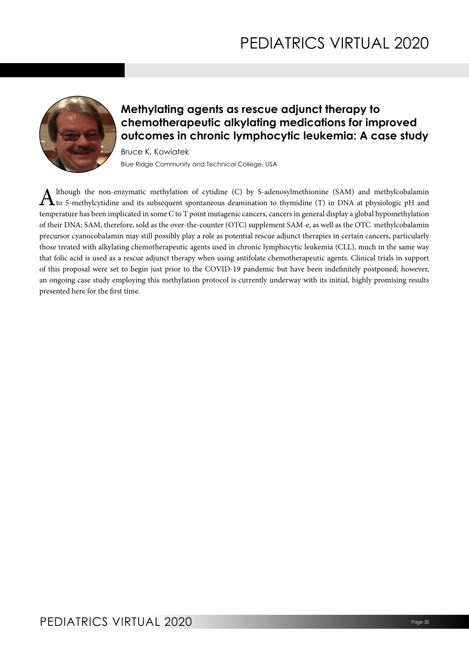

## **Methylating agents as rescue adjunct therapy to chemotherapeutic alkylating medications for improved outcomes in chronic lymphocytic leukemia: A case study**

Bruce K. Kowiatek Blue Ridge Community and Technical College, USA

Although the non-enzymatic methylation of cytidine (C) by S-adenosylmethionine (SAM) and methylcobalamin to 5-methylcytidine and its subsequent spontaneous deamination to thymidine (T) in DNA at physiologic pH and temperature has been implicated in some C to T point mutagenic cancers, cancers in general display a global hypomethylation of their DNA; SAM, therefore, sold as the over-the-counter (OTC) supplement SAM-e, as well as the OTC methylcobalamin precursor cyanocobalamin may still possibly play a role as potential rescue adjunct therapies in certain cancers, particularly those treated with alkylating chemotherapeutic agents used in chronic lymphocytic leukemia (CLL), much in the same way that folic acid is used as a rescue adjunct therapy when using antifolate chemotherapeutic agents. Clinical trials in support of this proposal were set to begin just prior to the COVID-19 pandemic but have been indefinitely postponed; however, an ongoing case study employing this methylation protocol is currently underway with its initial, highly promising results presented here for the first time.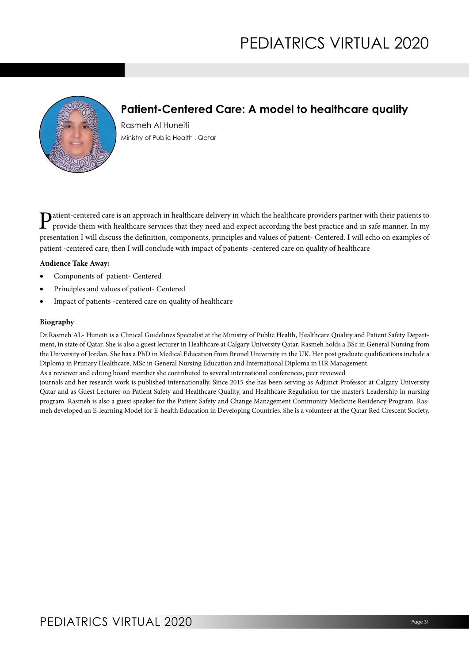

## **Patient-Centered Care: A model to healthcare quality**

Rasmeh Al Huneiti Ministry of Public Health , Qatar

**P**atient-centered care is an approach in healthcare delivery in which the healthcare providers partner with their patients to provide them with healthcare services that they need and expect according the best practice and presentation I will discuss the definition, components, principles and values of patient- Centered. I will echo on examples of patient -centered care, then I will conclude with impact of patients -centered care on quality of healthcare

### **Audience Take Away:**

- Components of patient- Centered
- Principles and values of patient- Centered
- Impact of patients -centered care on quality of healthcare

#### **Biography**

Dr.Rasmeh AL- Huneiti is a Clinical Guidelines Specialist at the Ministry of Public Health, Healthcare Quality and Patient Safety Department, in state of Qatar. She is also a guest lecturer in Healthcare at Calgary University Qatar. Rasmeh holds a BSc in General Nursing from the University of Jordan. She has a PhD in Medical Education from Brunel University in the UK. Her post graduate qualifications include a Diploma in Primary Healthcare, MSc in General Nursing Education and International Diploma in HR Management.

As a reviewer and editing board member she contributed to several international conferences, peer reviewed

journals and her research work is published internationally. Since 2015 she has been serving as Adjunct Professor at Calgary University Qatar and as Guest Lecturer on Patient Safety and Healthcare Quality, and Healthcare Regulation for the master's Leadership in nursing program. Rasmeh is also a guest speaker for the Patient Safety and Change Management Community Medicine Residency Program. Rasmeh developed an E-learning Model for E-health Education in Developing Countries. She is a volunteer at the Qatar Red Crescent Society.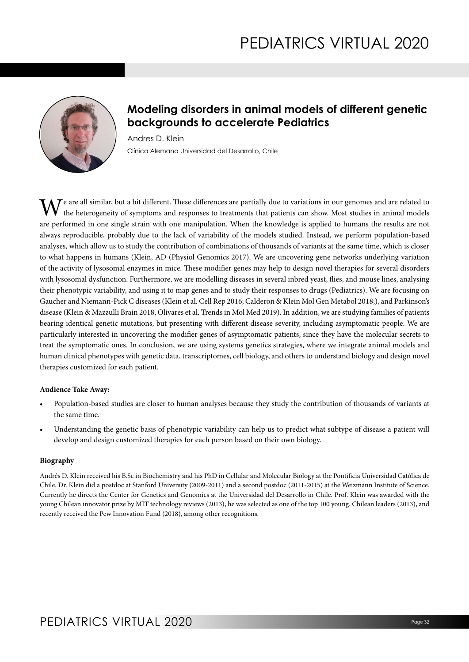

## **Modeling disorders in animal models of different genetic backgrounds to accelerate Pediatrics**

Andres D. Klein Clínica Alemana Universidad del Desarrollo, Chile

We are all similar, but a bit different. These differences are partially due to variations in our genomes and are related to the heterogeneity of symptoms and responses to treatments that patients can show. Most studies in animal models are performed in one single strain with one manipulation. When the knowledge is applied to humans the results are not always reproducible, probably due to the lack of variability of the models studied. Instead, we perform population-based analyses, which allow us to study the contribution of combinations of thousands of variants at the same time, which is closer to what happens in humans (Klein, AD (Physiol Genomics 2017). We are uncovering gene networks underlying variation of the activity of lysosomal enzymes in mice. These modifier genes may help to design novel therapies for several disorders with lysosomal dysfunction. Furthermore, we are modelling diseases in several inbred yeast, flies, and mouse lines, analysing their phenotypic variability, and using it to map genes and to study their responses to drugs (Pediatrics). We are focusing on Gaucher and Niemann-Pick C diseases (Klein et al. Cell Rep 2016; Calderon & Klein Mol Gen Metabol 2018;), and Parkinson's disease (Klein & Mazzulli Brain 2018, Olivares et al. Trends in Mol Med 2019). In addition, we are studying families of patients bearing identical genetic mutations, but presenting with different disease severity, including asymptomatic people. We are particularly interested in uncovering the modifier genes of asymptomatic patients, since they have the molecular secrets to treat the symptomatic ones. In conclusion, we are using systems genetics strategies, where we integrate animal models and human clinical phenotypes with genetic data, transcriptomes, cell biology, and others to understand biology and design novel therapies customized for each patient.

#### **Audience Take Away:**

- Population-based studies are closer to human analyses because they study the contribution of thousands of variants at the same time.
- Understanding the genetic basis of phenotypic variability can help us to predict what subtype of disease a patient will develop and design customized therapies for each person based on their own biology.

### **Biography**

Andrés D. Klein received his B.Sc in Biochemistry and his PhD in Cellular and Molecular Biology at the Pontificia Universidad Católica de Chile. Dr. Klein did a postdoc at Stanford University (2009-2011) and a second postdoc (2011-2015) at the Weizmann Institute of Science. Currently he directs the Center for Genetics and Genomics at the Universidad del Desarrollo in Chile. Prof. Klein was awarded with the young Chilean innovator prize by MIT technology reviews (2013), he was selected as one of the top 100 young. Chilean leaders (2013), and recently received the Pew Innovation Fund (2018), among other recognitions.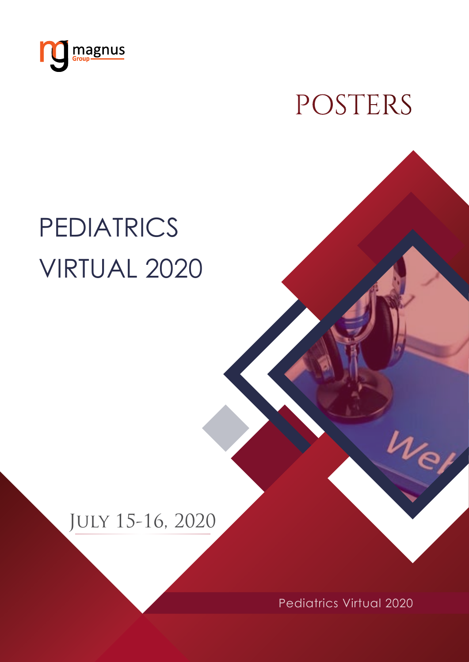<span id="page-32-0"></span>

POSTERS

# **PEDIATRICS** Virtual 2020

# July 15-16, 2020

Pediatrics Virtual 2020

 $\nu_e$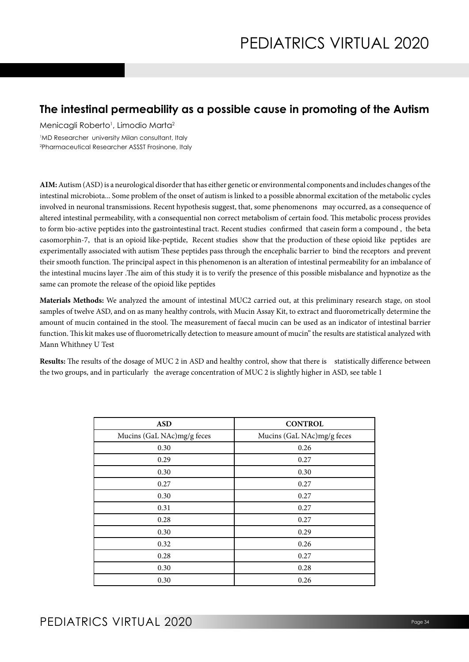### **The intestinal permeability as a possible cause in promoting of the Autism**

Menicagli Roberto<sup>1</sup>, Limodio Marta<sup>2</sup>

1 MD Researcher university Milan consultant, Italy 2 Pharmaceutical Researcher ASSST Frosinone, Italy

**AIM:** Autism (ASD) is a neurological disorder that has either genetic or environmental components and includes changes of the intestinal microbiota... Some problem of the onset of autism is linked to a possible abnormal excitation of the metabolic cycles involved in neuronal transmissions. Recent hypothesis suggest, that, some phenomenons may occurred, as a consequence of altered intestinal permeability, with a consequential non correct metabolism of certain food. This metabolic process provides to form bio-active peptides into the gastrointestinal tract. Recent studies confirmed that casein form a compound , the beta casomorphin-7, that is an opioid like-peptide, Recent studies show that the production of these opioid like peptides are experimentally associated with autism These peptides pass through the encephalic barrier to bind the receptors and prevent their smooth function. The principal aspect in this phenomenon is an alteration of intestinal permeability for an imbalance of the intestinal mucins layer .The aim of this study it is to verify the presence of this possible misbalance and hypnotize as the same can promote the release of the opioid like peptides

**Materials Methods:** We analyzed the amount of intestinal MUC2 carried out, at this preliminary research stage, on stool samples of twelve ASD, and on as many healthy controls, with Mucin Assay Kit, to extract and fluorometrically determine the amount of mucin contained in the stool. The measurement of faecal mucin can be used as an indicator of intestinal barrier function. This kit makes use of fluorometrically detection to measure amount of mucin" the results are statistical analyzed with Mann Whithney U Test

**Results:** The results of the dosage of MUC 2 in ASD and healthy control, show that there is statistically difference between the two groups, and in particularly the average concentration of MUC 2 is slightly higher in ASD, see table 1

| <b>ASD</b>                 | <b>CONTROL</b>             |
|----------------------------|----------------------------|
| Mucins (GaL NAc)mg/g feces | Mucins (GaL NAc)mg/g feces |
| 0.30                       | 0.26                       |
| 0.29                       | 0.27                       |
| 0.30                       | 0.30                       |
| 0.27                       | 0.27                       |
| 0.30                       | 0.27                       |
| 0.31                       | 0.27                       |
| 0.28                       | 0.27                       |
| 0.30                       | 0.29                       |
| 0.32                       | 0.26                       |
| 0.28                       | 0.27                       |
| 0.30                       | 0.28                       |
| 0.30                       | 0.26                       |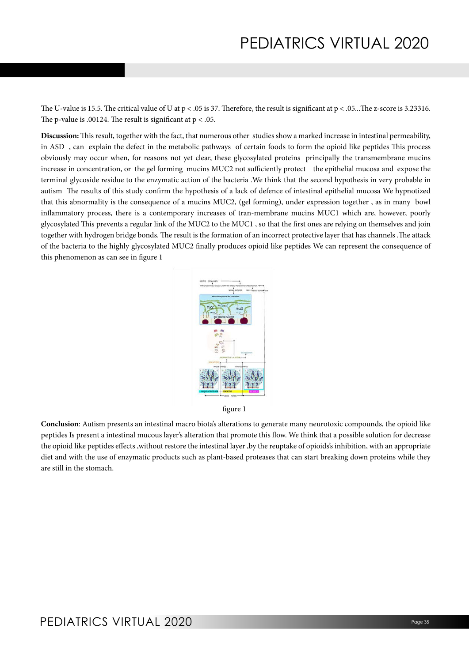The U-value is 15.5. The critical value of U at  $p < .05$  is 37. Therefore, the result is significant at  $p < .05$ ... The z-score is 3.23316. The p-value is .00124. The result is significant at  $p < .05$ .

**Discussion:** This result, together with the fact, that numerous other studies show a marked increase in intestinal permeability, in ASD , can explain the defect in the metabolic pathways of certain foods to form the opioid like peptides This process obviously may occur when, for reasons not yet clear, these glycosylated proteins principally the transmembrane mucins increase in concentration, or the gel forming mucins MUC2 not sufficiently protect the epithelial mucosa and expose the terminal glycoside residue to the enzymatic action of the bacteria .We think that the second hypothesis in very probable in autism The results of this study confirm the hypothesis of a lack of defence of intestinal epithelial mucosa We hypnotized that this abnormality is the consequence of a mucins MUC2, (gel forming), under expression together , as in many bowl inflammatory process, there is a contemporary increases of tran-membrane mucins MUC1 which are, however, poorly glycosylated This prevents a regular link of the MUC2 to the MUC1 , so that the first ones are relying on themselves and join together with hydrogen bridge bonds. The result is the formation of an incorrect protective layer that has channels .The attack of the bacteria to the highly glycosylated MUC2 finally produces opioid like peptides We can represent the consequence of this phenomenon as can see in figure 1



figure 1

**Conclusion**: Autism presents an intestinal macro biota's alterations to generate many neurotoxic compounds, the opioid like peptides Is present a intestinal mucous layer's alteration that promote this flow. We think that a possible solution for decrease the opioid like peptides effects ,without restore the intestinal layer ,by the reuptake of opioids's inhibition, with an appropriate diet and with the use of enzymatic products such as plant-based proteases that can start breaking down proteins while they are still in the stomach.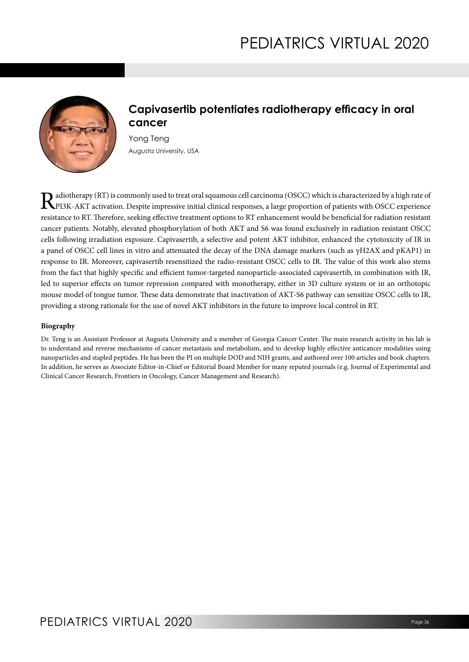

## **Capivasertib potentiates radiotherapy efficacy in oral cancer**

Yong Teng Augusta University, USA

Radiotherapy (RT) is commonly used to treat oral squamous cell carcinoma (OSCC) which is characterized by a high rate of<br>PPI3K-AKT activation. Despite impressive initial clinical responses, a large proportion of patients w resistance to RT. Therefore, seeking effective treatment options to RT enhancement would be beneficial for radiation resistant cancer patients. Notably, elevated phosphorylation of both AKT and S6 was found exclusively in radiation resistant OSCC cells following irradiation exposure. Capivasertib, a selective and potent AKT inhibitor, enhanced the cytotoxicity of IR in a panel of OSCC cell lines in vitro and attenuated the decay of the DNA damage markers (such as γH2AX and pKAP1) in response to IR. Moreover, capivasertib resensitized the radio-resistant OSCC cells to IR. The value of this work also stems from the fact that highly specific and efficient tumor-targeted nanoparticle-associated capivasertib, in combination with IR, led to superior effects on tumor repression compared with monotherapy, either in 3D culture system or in an orthotopic mouse model of tongue tumor. These data demonstrate that inactivation of AKT-S6 pathway can sensitize OSCC cells to IR, providing a strong rationale for the use of novel AKT inhibitors in the future to improve local control in RT.

#### **Biography**

Dr. Teng is an Assistant Professor at Augusta University and a member of Georgia Cancer Center. The main research activity in his lab is to understand and reverse mechanisms of cancer metastasis and metabolism, and to develop highly effective anticancer modalities using nanoparticles and stapled peptides. He has been the PI on multiple DOD and NIH grants, and authored over 100 articles and book chapters. In addition, he serves as Associate Editor-in-Chief or Editorial Board Member for many reputed journals (e.g. Journal of Experimental and Clinical Cancer Research, Frontiers in Oncology, Cancer Management and Research).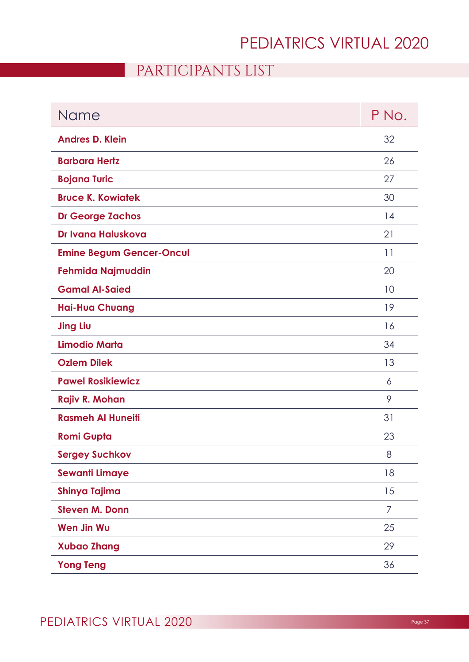## PARTICIPANTS LIST

<span id="page-36-0"></span>

| Name                            | P No. |
|---------------------------------|-------|
| <b>Andres D. Klein</b>          | 32    |
| <b>Barbara Hertz</b>            | 26    |
| <b>Bojana Turic</b>             | 27    |
| <b>Bruce K. Kowiatek</b>        | 30    |
| <b>Dr George Zachos</b>         | 14    |
| Dr Ivana Haluskova              | 21    |
| <b>Emine Begum Gencer-Oncul</b> | 11    |
| <b>Fehmida Najmuddin</b>        | 20    |
| <b>Gamal Al-Saied</b>           | 10    |
| <b>Hai-Hua Chuang</b>           | 19    |
| <b>Jing Liu</b>                 | 16    |
| <b>Limodio Marta</b>            | 34    |
| <b>Ozlem Dilek</b>              | 13    |
| <b>Pawel Rosikiewicz</b>        | 6     |
| Rajiv R. Mohan                  | 9     |
| <b>Rasmeh Al Huneiti</b>        | 31    |
| <b>Romi Gupta</b>               | 23    |
| <b>Sergey Suchkov</b>           | 8     |
| <b>Sewanti Limaye</b>           | 18    |
| Shinya Tajima                   | 15    |
| <b>Steven M. Donn</b>           | 7     |
| <b>Wen Jin Wu</b>               | 25    |
| <b>Xubao Zhang</b>              | 29    |
| <b>Yong Teng</b>                | 36    |